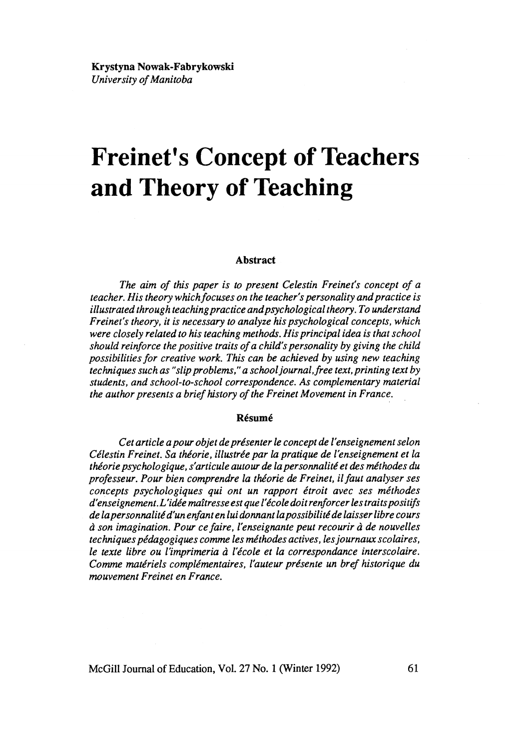# **Freinet's Concept of Teachers and Theory of Teaching**

#### **Abstract**

*The aim of this paper is to present Celestin Freinet's concept of a teacher. His theory whichfocuses on the teacher's personality and practice is illustrated through teaching practice and psycholo gical theory. To understand Freinet's theory,* il *is necessary to analyze his psychological concepts, which were closely related to his teaching methods. His principal idea is that school should reinforce the positive traits of a child's personality by giving the child possibilities for creative work. This can be achieved by using new teaching techniques such as "slip problems,*" *a schooljournal,free text,printing text by students, and school-to-school correspondence. As complementary material the author presents a brief history of the Freinet Movement in France.* 

#### **Résumé**

*Cet article a pour objet de présenter le concept de l'enseignement selon Célestin Freinet. Sa théorie, illustrée par la pratique de l'enseignement et la théorie psychologique, s'articule autour de la personnalité et des méthodes du professeur. Pour bien comprendre la théorie de Freinet, ilfaut analyser ses concepts psychologiques qui ont un rapport étroit avec ses méthodes d'enseignement. L 'idée maîtresse est que l'école doit renforcer les traits positifs de lapersonnalité d'un enfant en lui donnant lapossibilité de laisser libre cours à son imagination. Pour cefaire, l'enseignante peut recourir à de nouvelles techniques pédagogiques comme les méthodes actives, les journaux scolaires, le texte libre ou l'imprimeria à l'école et la correspondance interscolaire. Comme matériels complémentaires, l'auteur présente un bref historique du mouvement Freinet en France.* 

McGill Journal of Education, Vol. 27 No. 1 (Winter 1992) 61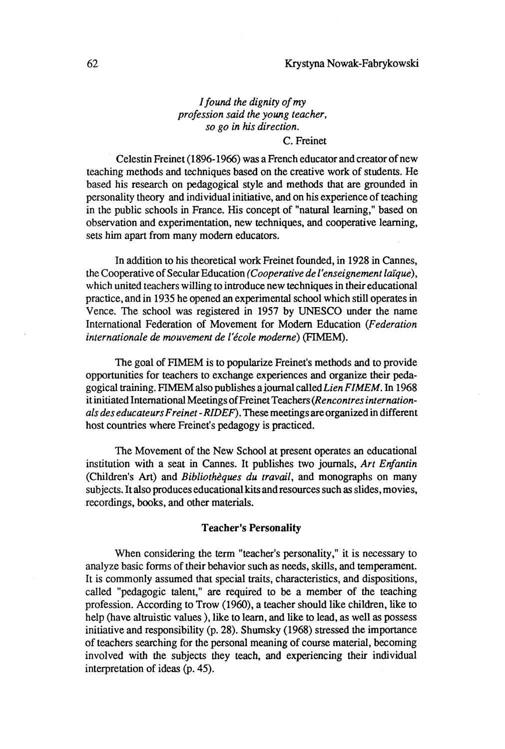## *1 found the dignity of my profession said the young teacher, so go in his direction.*

## C. Freinet

. Celestin Freinet (1896-1966) was a French educator and creator of new teaching methods and techniques based on the creative work of students. He based his research on pedagogical style and methods that are grounded in personality theory and individual initiative, and on his experience of teaching in the public schools in France. His concept of "natural learning," based on observation and experimentation, new techniques, and cooperative learning, sets him apart from many modem educators.

In addition to his theoretical work Freinet founded, in 1928 in Cannes, the Cooperative of Secular Education *(Cooperative de l'enseignement laïque),*  which united teachers willing to introduce new techniques in their educational practice, and in 1935 he opened an experimental school which still operates in Vence. The school was registered in 1957 by UNESCO under the name International Federation of Movement for Modern Education *(Federation internationale de mouvement de l'école moderne)* (FIMEM).

The goal of FIMEM is to popularize Freinet's methods and to provide opportunities for teachers to exchange experiences and organize their pedagogical training. FIMEM also publishes ajournal *calledLien FIMEM.* In 1968 it initiated International Meetings of Freinet Teachers *(Rencontres internationals des educateurs Freinet* -*RlDEF).* These meetings are organized in different host countries where Freinet's pedagogy is practiced.

The Movement of the New School at present operates an educational institution with a seat in Cannes. It publishes two journals, *Art Enfantin*  (Children's Art) and *Bibliothèques du travail,* and monographs on many subjects. It also produces educational kits and resources such as slides, movies, recordings, books, and other materials.

#### Teacher's Personality

When considering the term "teacher's personality," it is necessary to analyze basic forms of their behavior such as needs, skills, and temperament. It is commonly assumed that special traits, characteristics, and dispositions, called "pedagogic talent," are required to be a member of the teaching profession. According to Trow (1960), a teacher should like children, like ta help (have altruistic values), like to learn, and like to lead, as well as possess initiative and responsibility (p. 28). Shumsky (1968) stressed the importance of teachers searching for the personal meaning of course material, becoming involved with the subjects they teach, and experiencing their individual interpretation of ideas (p. 45).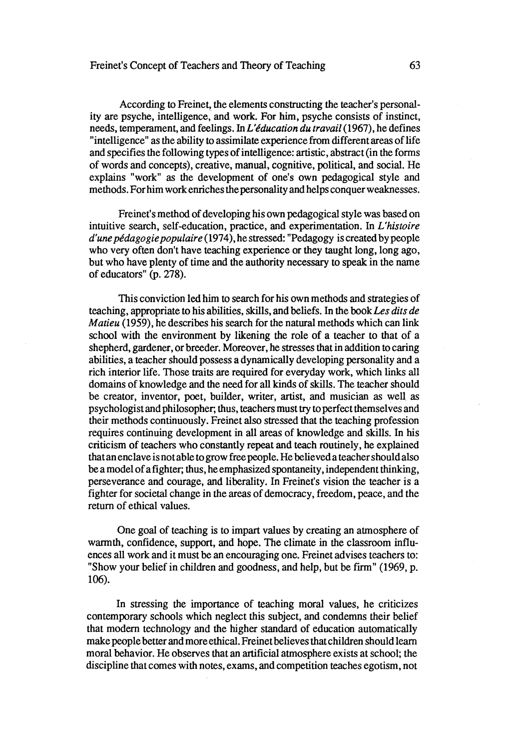## Freinet's Concept of Teachers and Theory of Teaching 63

According to Freinet, the elements constructing the teacher's personality are psyche, intelligence, and work. For him, psyche consists of instinct, needs, temperament, and feelings. In *L'éducation du travail* (1967), he defines "intelligence" as the ability to assimilate experience from different areas of life and specifies the following types of intelligence: artistic, abstract (in the forms of words and concepts), creative, manual, cognitive, political, and social. He explains "work" as the development of one's own pedagogical style and methods. For him work enriches the personality and helps conquer weaknesses.

Freinet's method of developing his own pedagogical style was based on intuitive search, self-education, practice, and experimentation. In *L'histoire d'une pédagogie populaire* (1974), hestressed: "Pedagogy is created bypeople who very often don't have teaching experience or they taught long, long ago, but who have plenty of time and the authority necessary to speak in the name of educators" (p. 278).

This conviction led him to search for his own methods and strategies of teaching, appropriate to his abilities, skills, and beliefs. In the book *Les dits de Matieu* (1959), he describes his search for the natural methods which can link school with the environment by likening the role of a teacher to that of a shepherd, gardener, or breeder. Moreover, he stresses that in addition to caring abilities, a teacher should possess a dynamically developing personality and a rich interior life. Those traits are required for everyday work, which links all domains of knowledge and the need for all kinds of skills. The teacher should be creator, inventor, poet, builder, writer, artist, and musician as well as psychologistand philosopher; thus, teachers must try toperfect themselves and their methods continuously. Freinet also stressed that the teaching profession requires continuing development in all areas of knowledge and skills. In his criticism of teachers who constantly repeat and teach routinely, he explained that an enclave is not able to grow free people. He believed a teacher should also he a model of afighter; thus, he emphasized spontaneity, independent thinking, perseverance and courage, and liberality. In Freinet's vision the teacher is a fighter for societal change in the areas of democracy, freedom, peace, and the return of ethical values.

One goal of teaching is to impart values by creating an atmosphere of warmth, confidence, support, and hope. The climate in the classroom influences all work and it must be an encouraging one. Freinet advises teachers to: "Show your belief in children and goodness, and help, but be firm" (1969, p. 106).

In stressing the importance of teaching moral values, he criticizes contemporary schools which neglect this subject, and condemns their belief that modern technology and the higher standard of education automatically make people better and more ethical. Freinet believes that children should leam moral hehavior. He observes that an artificial atmosphere exists at school; the discipline that comes with notes, exams, and competition teaches egotism, not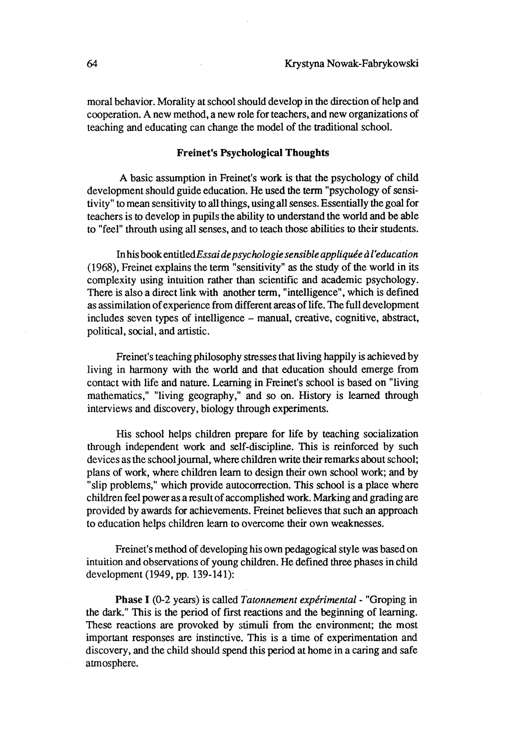moral behavior. Morality at school should develop in the direction of help and cooperation. A new method, a new role for teachers, and new organizations of teaching and educating can change the model of the traditional school.

#### Freinet's Psychological Thoughts

A basic assumption in Freinet's work is that the psychology of child development should guide education. He used the term "psychology of sensitivity" to mean sensitivity to all things, using all senses. Essentially the goal for teachers is to develop in pupils the ability to understand the world and he able to "feel" throuth using all senses, and to teach those abilities to their students.

In his book *entitIedEssai de psychologie sensible appliquée* à *l'education*  (1968), Freinet explains the term "sensitivity" as the study of the world in its complexity using intuition rather than scientific and academic psychology. There is also a direct link with another term, "intelligence", which is defmed as assimilation of experience from different areas of life. The full development includes seven types of intelligence - manual, creative, cognitive, abstract, political, social, and artistic.

Freinet's teaching philosophy stresses that living happily is achieved by living in harmony with the world and that education should emerge from contact with life and nature. Learning in Freinet's school is based on "living mathematics," "living geography," and so on. History is leamed through interviews and discovery, biology through experiments.

His school helps children prepare for life by teaching socialization through independent work and self-discipline. This is reinforced by such devices as the school journal, where children write their remarks about school; plans of work, where children learn to design their own school work; and by "slip problems," which provide autocorrection. This school is a place where children feel power as a result of accomplished work. Marking and grading are provided by awards for achievements. Freinet helieves that such an approach to education helps children leam to overcome their own weaknesses.

Freinet's method of developing his own pedagogical style was based on intuition and observations of young children. He defined three phases in child development (1949, pp. 139-141):

Phase 1 (0-2 years) is called *Tatonnement expérimental-* "Groping in the dark." This is the period of frrst reactions and the beginning of learning. These reactions are provoked by stimuli from the environment; the most important responses are instinctive. This is a time of experimentation and discovery, and the child should spend this period at home in a caring and safe atmosphere.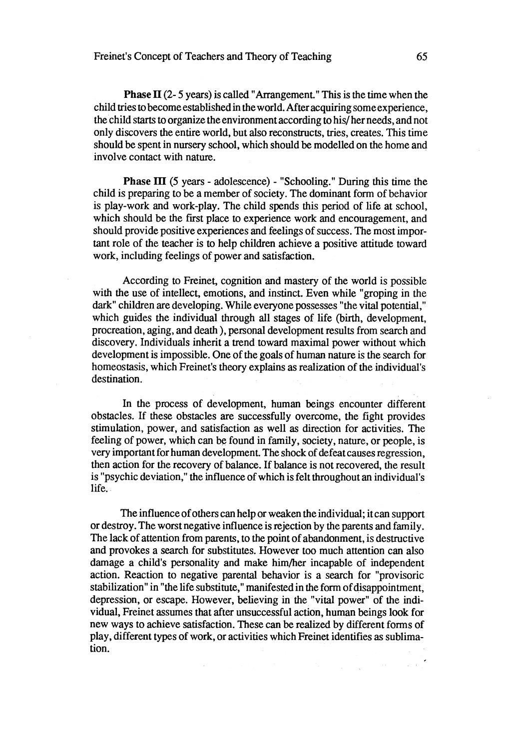**Phase II** (2- 5 years) is called "Arrangement." This is the time when the child tries to become established in the world. After acquiring some experience, the child starts to organize the environment according to his/ her needs, and not only discovers the entire world, but also reconstructs, tries, creates. This time should be spent in nursery school, which should he modelled on the home and involve contact with nature.

**Phase III** (5 years - adolescence) - "Schooling." During this time the child is preparing to be a member of society. The dominant form of behavior is play-work and work-play. The child spends this period of life at school, which should be the first place to experience work and encouragement, and should provide positive experiences and feelings of success. The most important role of the teacher is 10 help children achieve a positive attitude toward work, including feelings of power and satisfaction.

According to Freinet, cognition and mastery of the world is possible with the use of intellect, emotions, and instinct. Even while "groping in the dark" children are developing. While everyone possesses "the vital potential," which guides the individual through all stages of life (birth, development, procreation, aging, and death), personal development results from search and discovery. Individuals inherit a trend 10ward maximal power without which development is impossible. One of the goals of human nature is the search for homeostasis, which Freinet's theory explains as realization of the individual's destination.

In the process of development, human heings encounter different obstacles. If these obstacles are successfuIly overcome, the fight provides stimulation, power, and satisfaction as weIl as direction for activities. The feeling of power, which can be found in family, society, nature, or people, is very important for human development. The shock of defeat causes regression, then action for the recovery of balance. If balance is not recovered, the result is "psychic deviation," the influence of which is felt throughout an individual's life.

The influence of others can help or weaken the individual; it can support or destroy. The worst negative influence is rejection by the parents and family. The lack of attention from parents, to the point of abandonment, is destructive and provokes a search for substitutes. However too much attention can also damage a child's personality and make him/her incapable of independent action. Reaction to negative parental behavior is a search for "provisoric stabilization" in "the life substitute," manifested in the form of disappointment, depression, or escape. However, helieving in the "vital power" of the individual, Freinet assumes that after unsuccessful action, human beings look for new ways to achieve satisfaction. These can be realized by different forms of play, different types of work, or activities which Freinet identifies as sublimation.

 $\sim 10^{-7}$ 

 $\mathcal{L}_{\text{max}}$  and  $\mathcal{L}_{\text{max}}$  and  $\mathcal{L}_{\text{max}}$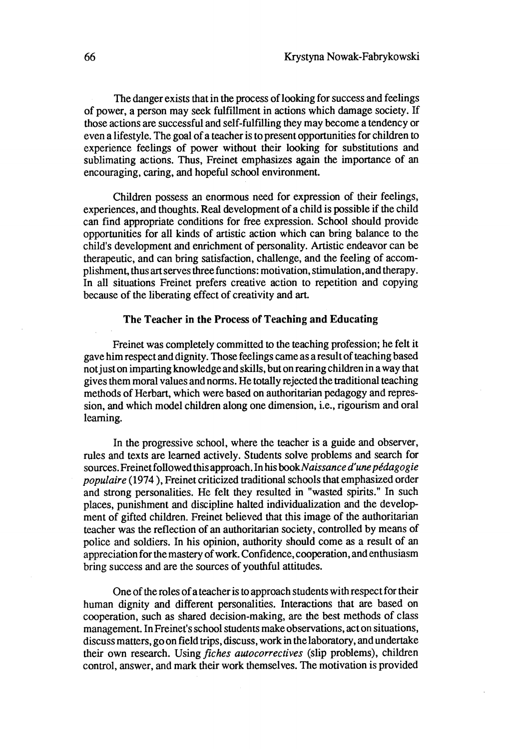The danger exists that in the process of looking for success and feelings of power, a person may seek fulfillment in actions which damage society. If those actions are successful and self-fulfiIling they may become a tendency or even a lifestyle. The goal of a teacher is to present opportunities for children to experience feelings of power without their looking for substitutions and sublimating actions. Thus, Freinet emphasizes again the importance of an encouraging, caring, and hopeful school environment.

Children possess an enormous need for expression of their feelings, experiences, and thoughts. Real development of a child is possible if the child can find appropriate conditions for free expression. School should provide opportunities for aIl kinds of artistic action which can bring balance to the child's development and enrichment of personality. Artistic endeavor can be therapeutic, and can bring satisfaction, challenge, and the feeling of accomplishment, thus art serves three functions: motivation, stimulation, and therapy. In aIl situations Freinet prefers creative action to repetition and copying because of the liberating effect of creativity and art.

#### The Teacher in the Process of Teaching and Educating

Freinet was completely committed to the teaching profession; he felt it gave him respect and dignity. Those feelings came as a resul t of teaching based not just on imparting knowledge and skills, but on rearing children in a way that gives them moral values and norms. He totally rejected the traditional teaching methods of Herbart, which were based on authoritarian pedagogy and repression, and which model children along one dimension, i.e., rigourism and oral leaming.

In the progressive school, where the teacher is a guide and observer, rules and texts are learned actively. Students solve problems and search for sources. Freinet followed this approach. In his book Naissance d'une pédagogie *populaire* (1974 ), Freinet criticized traditional schools that emphasized order and strong personalities. He felt they resulted in "wasted spirits." In such places, punishment and discipline halted individualization and the development of gifted children. Freinet believed that this image of the authoritarian teacher was the reflection of an authoritarian society, controlled by means of police and soldiers. In his opinion, authority should come as a result of an appreciation for the mastery of work. Confidence, cooperation, and enthusiasm bring success and are the Sources of youthful attitudes.

One of the roles of a teacher is to approach students with respect for their human dignity and different personalities. Interactions that are based on cooperation, such as shared decision-making, are the best methods of class management. In Freinet's school students make observations, act on situations, discuss matters, go on field trips, discuss, work in the laboratory, and undertake their own research. Using *fiches autocorrectives* (slip problems), children control, answer, and mark their work themselves. The motivation is provided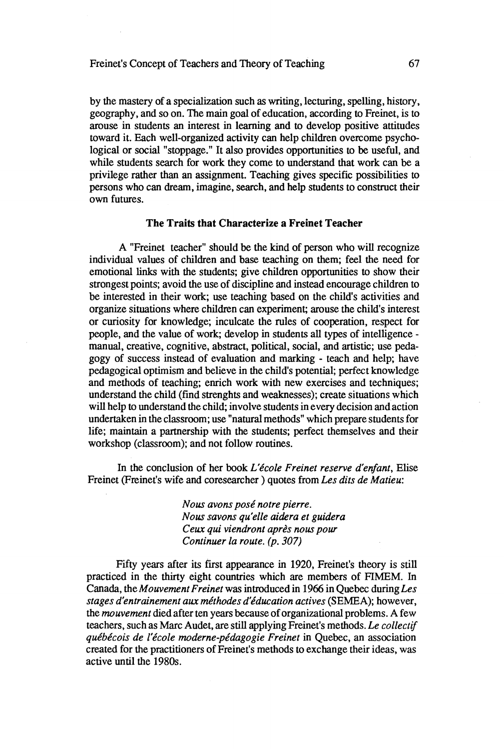## Freinet's Concept of Teachers and Theory of Teaching 67

by the mastery of a specialization such as writing, lecturing, spelling, history, geography, and so on. The main goal of education, according to Freinet, is to arouse in students an interest in learning and to develop positive attitudes toward it. Each well-organized activity can help children overcome psychological or social "stoppage." It also provides opportunities to be useful, and while students search for work they come to understand that work can be a privilege rather than an assignment. Teaching gives specific possibilities to persons who can dream, imagine, search, and help students 10 construct their own futures.

## **The Traits that Characterize a Freinet Teacher**

A "Freinet teacher" should be the kind of person who will recognize individual values of children and base teaching on them; feel the need for emotional links with the students; give children opportunities to show their strongest points; avoid the use of discipline and instead encourage children to he interested in their work; use teaching based on the child's activities and organize situations where children can experiment; arouse the child's interest or curiosity for knowledge; inculcate the mIes of cooperation, respect for people, and the value of work; develop in students all types of intelligence manual, creative, cognitive, abstract, political, social, and artistic; use pedagogy of success instead of evaluation and marking - teach and help; have pedagogical optimism and believe in the child's potential; perfect knowledge and methods of teaching; enrich work with new exercises and techniques; understand the child (find strenghts and weaknesses); create situations which will help to understand the child; involve students in every decision and action undertaken in the classroom; use "natural methods" which prepare students for life; maintain a partnership with the students; perfect themselves and their workshop (classroom); and not follow routines.

In the conclusion of her book *L'école Freinet reserve d'enfant,* Elise Freinet (Freinet's wife and coresearcher ) quotes from *Les dits de Matieu:* 

> *Nous avons posé notre pierre. Nous savons qu'elle aidera et guidera Ceux qui viendront après nous pour Continuer la route. (p. 307)*

Fifty years after its first appearance in 1920, Freinet's theory is still practiced in the thirty eight countries which are members of FIMEM. In Canada, the *Mouvement Freinet* was introduced in 1966 in Quebec duringLes *stages d'entrainement aux méthodes d'éducation actives* (SEMEA); however, the *mouvement* died after ten years because of organizational problems. A few teachers, such as Marc Audet, are still applying Freinet's methods. *Le collectif québécois de l'école moderne-pédagogie Freinet* in Quebec, an association created for the practitioners of Freinet's methods to exchange their ideas, was active until the 1980s.